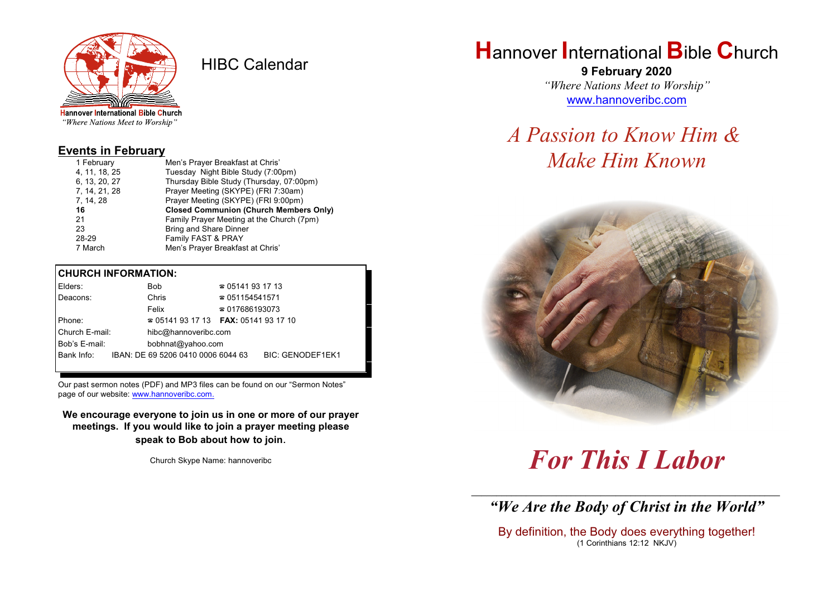

HIBC Calendar

"Where Nations Meet to Worship"

#### **Events in February**

| 1 February    | Men's Prayer Breakfast at Chris'              |  |  |  |
|---------------|-----------------------------------------------|--|--|--|
| 4, 11, 18, 25 | Tuesday Night Bible Study (7:00pm)            |  |  |  |
| 6, 13, 20, 27 | Thursday Bible Study (Thursday, 07:00pm)      |  |  |  |
| 7, 14, 21, 28 | Prayer Meeting (SKYPE) (FRI 7:30am)           |  |  |  |
| 7, 14, 28     | Prayer Meeting (SKYPE) (FRI 9:00pm)           |  |  |  |
|               |                                               |  |  |  |
| 16            | <b>Closed Communion (Church Members Only)</b> |  |  |  |
| 21            | Family Prayer Meeting at the Church (7pm)     |  |  |  |
| 23            | Bring and Share Dinner                        |  |  |  |
| 28-29         | Family FAST & PRAY                            |  |  |  |

#### **CHURCH INFORMATION:**

| Elders:        | Bob.                                     | $\approx 05141931713$  |                         |  |
|----------------|------------------------------------------|------------------------|-------------------------|--|
| Deacons:       | Chris                                    | $\approx 051154541571$ |                         |  |
|                | Felix                                    | $\approx 017686193073$ |                         |  |
| Phone:         | $\approx 05141931713$ FAX: 0514193 17 10 |                        |                         |  |
| Church E-mail: | hibc@hannoveribc.com                     |                        |                         |  |
| Bob's E-mail:  | bobhnat@yahoo.com                        |                        |                         |  |
| Bank Info:     | IBAN: DE 69 5206 0410 0006 6044 63       |                        | <b>BIC: GENODEF1EK1</b> |  |
|                |                                          |                        |                         |  |

Our past sermon notes (PDF) and MP3 files can be found on our "Sermon Notes" page of our website: [www.hannoveribc.com.](http://www.hannoveribc.com.)

**We encourage everyone to join us in one or more of our prayer meetings. If you would like to join a prayer meeting please speak to Bob about how to join**.

Church Skype Name: hannoveribc

## **H**annover **I**nternational **B**ible **C**hurch

**9 February 2020** *"Where Nations Meet to Worship"* [www.hannoveribc.com](http://www.hannoveribc.com)

# *A Passion to Know Him & Make Him Known*



# *For This I Labor*

\_\_\_\_\_\_\_\_\_\_\_\_\_\_\_\_\_\_\_\_\_\_\_\_\_\_\_\_\_\_\_\_\_\_\_\_\_\_\_\_\_\_\_\_\_\_\_\_\_\_\_\_\_\_\_\_\_\_\_\_\_\_ *"We Are the Body of Christ in the World"*

By definition, the Body does everything together! (1 Corinthians 12:12 NKJV)